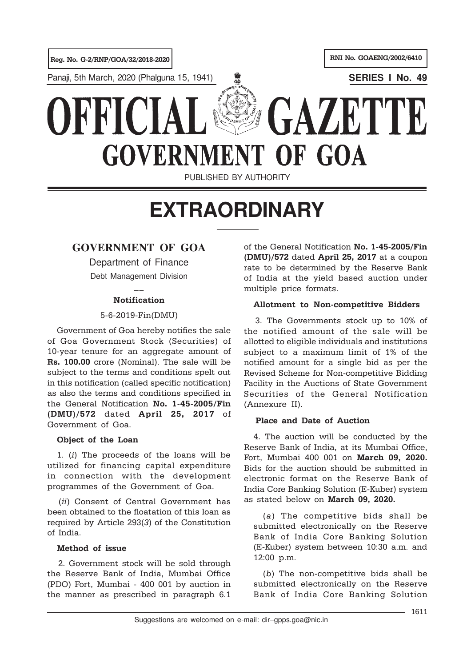

PUBLISHED BY AUTHORITY

# **EXTRAORDINARY**

## **GOVERNMENT OF GOA**

Department of Finance Debt Management Division

## $\overline{a}$ **Notification**

## 5-6-2019-Fin(DMU)

Government of Goa hereby notifies the sale of Goa Government Stock (Securities) of 10-year tenure for an aggregate amount of Rs. 100.00 crore (Nominal). The sale will be subject to the terms and conditions spelt out in this notification (called specific notification) as also the terms and conditions specified in the General Notification No. 1-45-2005/Fin (DMU)/572 dated April 25, 2017 of Government of Goa.

#### Object of the Loan

1. (i) The proceeds of the loans will be utilized for financing capital expenditure in connection with the development programmes of the Government of Goa.

(ii) Consent of Central Government has been obtained to the floatation of this loan as required by Article 293(3) of the Constitution of India.

#### Method of issue

2. Government stock will be sold through the Reserve Bank of India, Mumbai Office (PDO) Fort, Mumbai - 400 001 by auction in the manner as prescribed in paragraph 6.1

of the General Notification No. 1-45-2005/Fin (DMU)/572 dated April 25, 2017 at a coupon rate to be determined by the Reserve Bank of India at the yield based auction under multiple price formats.

## Allotment to Non-competitive Bidders

3. The Governments stock up to 10% of the notified amount of the sale will be allotted to eligible individuals and institutions subject to a maximum limit of 1% of the notified amount for a single bid as per the Revised Scheme for Non-competitive Bidding Facility in the Auctions of State Government Securities of the General Notification (Annexure II).

#### Place and Date of Auction

4. The auction will be conducted by the Reserve Bank of India, at its Mumbai Office, Fort, Mumbai 400 001 on March 09, 2020. Bids for the auction should be submitted in electronic format on the Reserve Bank of India Core Banking Solution (E-Kuber) system as stated below on March 09, 2020.

(a) The competitive bids shall be submitted electronically on the Reserve Bank of India Core Banking Solution (E-Kuber) system between 10:30 a.m. and 12:00 p.m.

(b) The non-competitive bids shall be submitted electronically on the Reserve Bank of India Core Banking Solution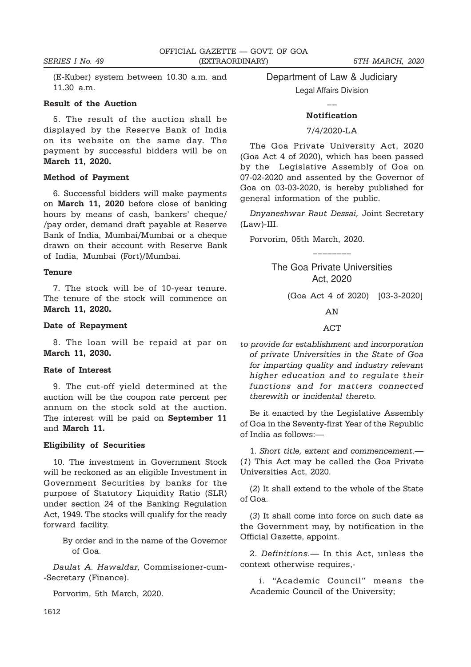(E-Kuber) system between 10.30 a.m. and 11.30 a.m.

#### Result of the Auction

5. The result of the auction shall be displayed by the Reserve Bank of India on its website on the same day. The payment by successful bidders will be on March 11, 2020.

#### Method of Payment

6. Successful bidders will make payments on March 11, 2020 before close of banking hours by means of cash, bankers' cheque/ /pay order, demand draft payable at Reserve Bank of India, Mumbai/Mumbai or a cheque drawn on their account with Reserve Bank of India, Mumbai (Fort)/Mumbai.

#### **Tenure**

7. The stock will be of 10-year tenure. The tenure of the stock will commence on March 11, 2020.

#### Date of Repayment

8. The loan will be repaid at par on March 11, 2030.

#### Rate of Interest

9. The cut-off yield determined at the auction will be the coupon rate percent per annum on the stock sold at the auction. The interest will be paid on **September 11** and March 11.

#### Eligibility of Securities

10. The investment in Government Stock will be reckoned as an eligible Investment in Government Securities by banks for the purpose of Statutory Liquidity Ratio (SLR) under section 24 of the Banking Regulation Act, 1949. The stocks will qualify for the ready forward facility.

> By order and in the name of the Governor of Goa.

Daulat A. Hawaldar, Commissioner-cum- -Secretary (Finance).

Porvorim, 5th March, 2020.

Department of Law & Judiciary

Legal Affairs Division  $\overline{a}$ 

## Notification

#### 7/4/2020-LA

The Goa Private University Act, 2020 (Goa Act 4 of 2020), which has been passed by the Legislative Assembly of Goa on 07-02-2020 and assented by the Governor of Goa on 03-03-2020, is hereby published for general information of the public.

Dnyaneshwar Raut Dessai, Joint Secretary (Law)-III.

Porvorim, 05th March, 2020.

The Goa Private Universities Act, 2020

\_\_\_\_\_\_\_\_

(Goa Act 4 of 2020) [03-3-2020]

AN

ACT

to provide for establishment and incorporation of private Universities in the State of Goa for imparting quality and industry relevant higher education and to regulate their functions and for matters connected therewith or incidental thereto.

Be it enacted by the Legislative Assembly of Goa in the Seventy-first Year of the Republic of India as follows:—

1. Short title, extent and commencement.— (1) This Act may be called the Goa Private Universities Act, 2020.

(2) It shall extend to the whole of the State of Goa.

(3) It shall come into force on such date as the Government may, by notification in the Official Gazette, appoint.

2. Definitions.— In this Act, unless the context otherwise requires,-

i. "Academic Council" means the Academic Council of the University;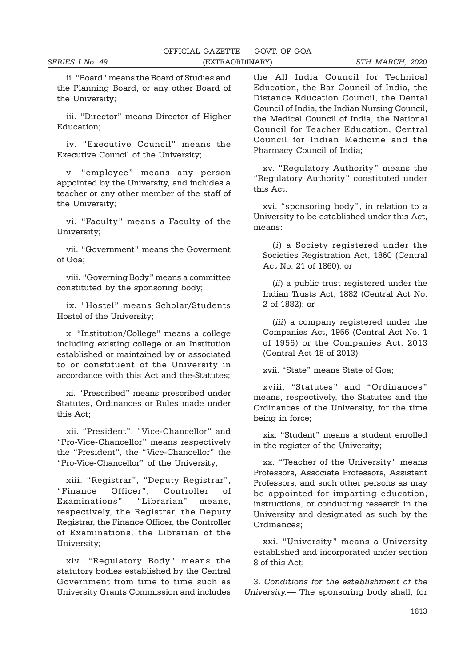ii. "Board" means the Board of Studies and the Planning Board, or any other Board of the University;

iii. "Director" means Director of Higher Education;

iv. "Executive Council" means the Executive Council of the University;

v. "employee" means any person appointed by the University, and includes a teacher or any other member of the staff of the University;

vi. "Faculty" means a Faculty of the University;

vii. "Government" means the Goverment of Goa;

viii. "Governing Body" means a committee constituted by the sponsoring body;

ix. "Hostel" means Scholar/Students Hostel of the University;

x. "Institution/College" means a college including existing college or an Institution established or maintained by or associated to or constituent of the University in accordance with this Act and the-Statutes;

xi. "Prescribed" means prescribed under Statutes, Ordinances or Rules made under this Act;

xii. "President", "Vice-Chancellor" and "Pro-Vice-Chancellor" means respectively the "President", the "Vice-Chancellor" the "Pro-Vice-Chancellor" of the University;

xiii. "Registrar", "Deputy Registrar", "Finance Officer", Controller of Examinations", "Librarian" means, respectively, the Registrar, the Deputy Registrar, the Finance Officer, the Controller of Examinations, the Librarian of the University;

xiv. "Regulatory Body" means the statutory bodies established by the Central Government from time to time such as University Grants Commission and includes

the All India Council for Technical Education, the Bar Council of India, the Distance Education Council, the Dental Council of India, the Indian Nursing Council, the Medical Council of India, the National Council for Teacher Education, Central Council for Indian Medicine and the Pharmacy Council of India;

xv. "Regulatory Authority" means the "Regulatory Authority" constituted under this Act.

xvi. "sponsoring body", in relation to a University to be established under this Act, means:

(i) a Society registered under the Societies Registration Act, 1860 (Central Act No. 21 of 1860); or

(ii) a public trust registered under the Indian Trusts Act, 1882 (Central Act No. 2 of 1882); or

(*iii*) a company registered under the Companies Act, 1956 (Central Act No. 1 of 1956) or the Companies Act, 2013 (Central Act 18 of 2013);

xvii. "State" means State of Goa;

xviii. "Statutes" and "Ordinances" means, respectively, the Statutes and the Ordinances of the University, for the time being in force;

xix. "Student" means a student enrolled in the register of the University;

xx. "Teacher of the University" means Professors, Associate Professors, Assistant Professors, and such other persons as may be appointed for imparting education, instructions, or conducting research in the University and designated as such by the Ordinances;

xxi. "University" means a University established and incorporated under section 8 of this Act;

3. Conditions for the establishment of the University.— The sponsoring body shall, for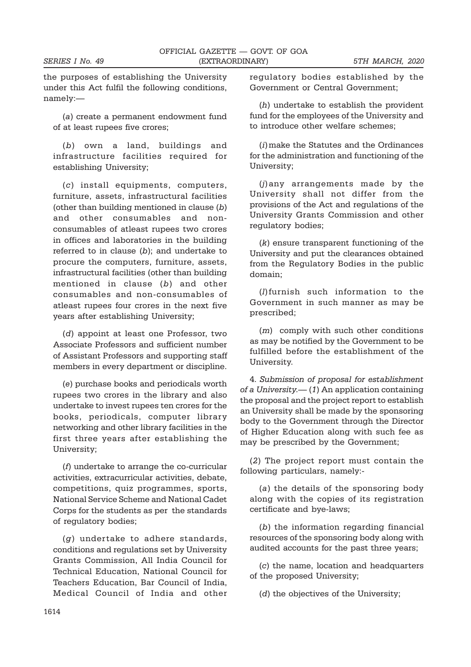the purposes of establishing the University under this Act fulfil the following conditions, namely:—

(a) create a permanent endowment fund of at least rupees five crores;

(b) own a land, buildings and infrastructure facilities required for establishing University;

(c) install equipments, computers, furniture, assets, infrastructural facilities (other than building mentioned in clause (b) and other consumables and nonconsumables of atleast rupees two crores in offices and laboratories in the building referred to in clause (b); and undertake to procure the computers, furniture, assets, infrastructural facilities (other than building mentioned in clause (b) and other consumables and non-consumables of atleast rupees four crores in the next five years after establishing University;

(d) appoint at least one Professor, two Associate Professors and sufficient number of Assistant Professors and supporting staff members in every department or discipline.

(e) purchase books and periodicals worth rupees two crores in the library and also undertake to invest rupees ten crores for the books, periodicals, computer library networking and other library facilities in the first three years after establishing the University;

(f) undertake to arrange the co-curricular activities, extracurricular activities, debate, competitions, quiz programmes, sports, National Service Scheme and National Cadet Corps for the students as per the standards of regulatory bodies;

(g) undertake to adhere standards, conditions and regulations set by University Grants Commission, All India Council for Technical Education, National Council for Teachers Education, Bar Council of India, Medical Council of India and other regulatory bodies established by the Government or Central Government;

(h) undertake to establish the provident fund for the employees of the University and to introduce other welfare schemes;

(i)make the Statutes and the Ordinances for the administration and functioning of the University;

(j)any arrangements made by the University shall not differ from the provisions of the Act and regulations of the University Grants Commission and other regulatory bodies;

(k) ensure transparent functioning of the University and put the clearances obtained from the Regulatory Bodies in the public domain;

(l)furnish such information to the Government in such manner as may be prescribed;

(m) comply with such other conditions as may be notified by the Government to be fulfilled before the establishment of the University.

4. Submission of proposal for establishment of a University. $-$  (1) An application containing the proposal and the project report to establish an University shall be made by the sponsoring body to the Government through the Director of Higher Education along with such fee as may be prescribed by the Government;

(2) The project report must contain the following particulars, namely:-

(a) the details of the sponsoring body along with the copies of its registration certificate and bye-laws;

(b) the information regarding financial resources of the sponsoring body along with audited accounts for the past three years;

(c) the name, location and headquarters of the proposed University;

(d) the objectives of the University;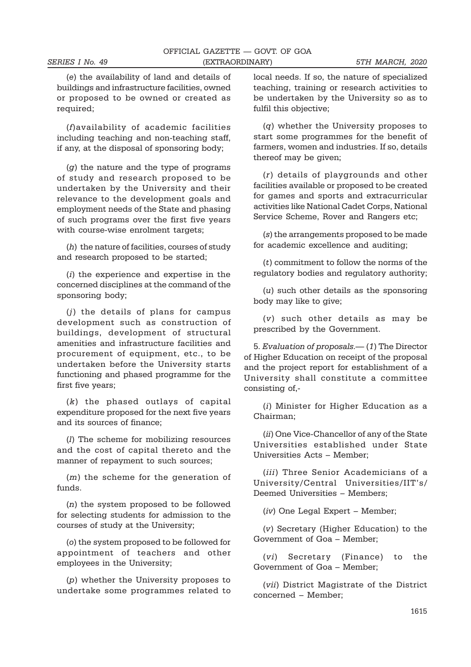(e) the availability of land and details of buildings and infrastructure facilities, owned or proposed to be owned or created as required;

(f)availability of academic facilities including teaching and non-teaching staff, if any, at the disposal of sponsoring body;

(g) the nature and the type of programs of study and research proposed to be undertaken by the University and their relevance to the development goals and employment needs of the State and phasing of such programs over the first five years with course-wise enrolment targets;

(h) the nature of facilities, courses of study and research proposed to be started;

(i) the experience and expertise in the concerned disciplines at the command of the sponsoring body;

(j) the details of plans for campus development such as construction of buildings, development of structural amenities and infrastructure facilities and procurement of equipment, etc., to be undertaken before the University starts functioning and phased programme for the first five years;

(k) the phased outlays of capital expenditure proposed for the next five years and its sources of finance;

(l) The scheme for mobilizing resources and the cost of capital thereto and the manner of repayment to such sources;

(m) the scheme for the generation of funds.

(n) the system proposed to be followed for selecting students for admission to the courses of study at the University;

(o) the system proposed to be followed for appointment of teachers and other employees in the University;

(p) whether the University proposes to undertake some programmes related to

local needs. If so, the nature of specialized teaching, training or research activities to be undertaken by the University so as to fulfil this objective;

(q) whether the University proposes to start some programmes for the benefit of farmers, women and industries. If so, details thereof may be given;

(r) details of playgrounds and other facilities available or proposed to be created for games and sports and extracurricular activities like National Cadet Corps, National Service Scheme, Rover and Rangers etc;

(s) the arrangements proposed to be made for academic excellence and auditing;

(t) commitment to follow the norms of the regulatory bodies and regulatory authority;

(u) such other details as the sponsoring body may like to give;

(v) such other details as may be prescribed by the Government.

5. Evaluation of proposals.— (1) The Director of Higher Education on receipt of the proposal and the project report for establishment of a University shall constitute a committee consisting of,-

(i) Minister for Higher Education as a Chairman;

(ii) One Vice-Chancellor of any of the State Universities established under State Universities Acts – Member;

(iii) Three Senior Academicians of a University/Central Universities/IIT's/ Deemed Universities – Members;

(iv) One Legal Expert – Member:

(v) Secretary (Higher Education) to the Government of Goa – Member;

(vi) Secretary (Finance) to the Government of Goa – Member;

(vii) District Magistrate of the District concerned – Member;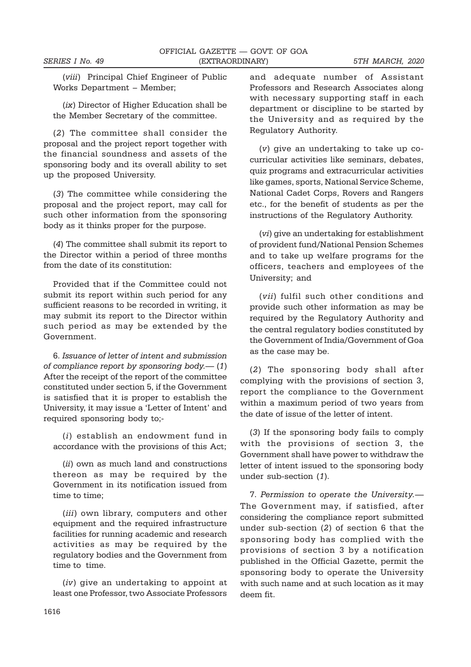(viii) Principal Chief Engineer of Public Works Department – Member;

(ix) Director of Higher Education shall be the Member Secretary of the committee.

(2) The committee shall consider the proposal and the project report together with the financial soundness and assets of the sponsoring body and its overall ability to set up the proposed University.

(3) The committee while considering the proposal and the project report, may call for such other information from the sponsoring body as it thinks proper for the purpose.

(4) The committee shall submit its report to the Director within a period of three months from the date of its constitution:

Provided that if the Committee could not submit its report within such period for any sufficient reasons to be recorded in writing, it may submit its report to the Director within such period as may be extended by the Government.

6. Issuance of letter of intent and submission of compliance report by sponsoring body.— (1) After the receipt of the report of the committee constituted under section 5, if the Government is satisfied that it is proper to establish the University, it may issue a 'Letter of Intent' and required sponsoring body to;-

(i) establish an endowment fund in accordance with the provisions of this Act;

(ii) own as much land and constructions thereon as may be required by the Government in its notification issued from time to time;

(*iii*) own library, computers and other equipment and the required infrastructure facilities for running academic and research activities as may be required by the regulatory bodies and the Government from time to time.

(iv) give an undertaking to appoint at least one Professor, two Associate Professors

and adequate number of Assistant Professors and Research Associates along with necessary supporting staff in each department or discipline to be started by the University and as required by the Regulatory Authority.

(v) give an undertaking to take up cocurricular activities like seminars, debates, quiz programs and extracurricular activities like games, sports, National Service Scheme, National Cadet Corps, Rovers and Rangers etc., for the benefit of students as per the instructions of the Regulatory Authority.

(vi) give an undertaking for establishment of provident fund/National Pension Schemes and to take up welfare programs for the officers, teachers and employees of the University; and

(vii) fulfil such other conditions and provide such other information as may be required by the Regulatory Authority and the central regulatory bodies constituted by the Government of India/Government of Goa as the case may be.

(2) The sponsoring body shall after complying with the provisions of section 3, report the compliance to the Government within a maximum period of two years from the date of issue of the letter of intent.

(3) If the sponsoring body fails to comply with the provisions of section 3, the Government shall have power to withdraw the letter of intent issued to the sponsoring body under sub-section (1).

7. Permission to operate the University.— The Government may, if satisfied, after considering the compliance report submitted under sub-section (2) of section 6 that the sponsoring body has complied with the provisions of section 3 by a notification published in the Official Gazette, permit the sponsoring body to operate the University with such name and at such location as it may deem fit.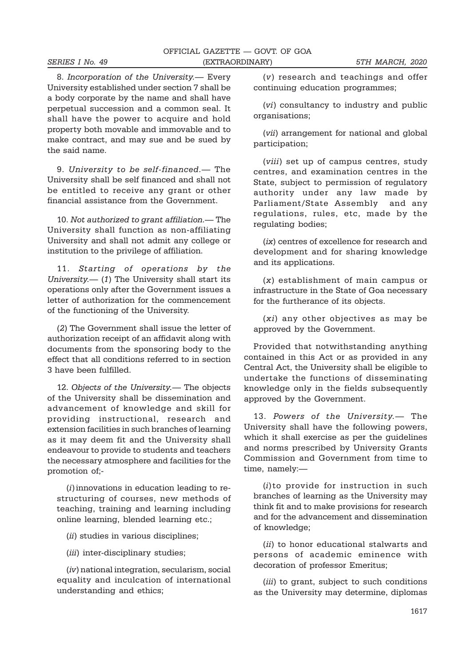8. Incorporation of the University.— Every University established under section 7 shall be a body corporate by the name and shall have perpetual succession and a common seal. It shall have the power to acquire and hold property both movable and immovable and to make contract, and may sue and be sued by the said name.

9. University to be self-financed.— The University shall be self financed and shall not be entitled to receive any grant or other financial assistance from the Government.

10. Not authorized to grant affiliation.— The University shall function as non-affiliating University and shall not admit any college or institution to the privilege of affiliation.

11. Starting of operations by the University.— (1) The University shall start its operations only after the Government issues a letter of authorization for the commencement of the functioning of the University.

(2) The Government shall issue the letter of authorization receipt of an affidavit along with documents from the sponsoring body to the effect that all conditions referred to in section 3 have been fulfilled.

12. Objects of the University.— The objects of the University shall be dissemination and advancement of knowledge and skill for providing instructional, research and extension facilities in such branches of learning as it may deem fit and the University shall endeavour to provide to students and teachers the necessary atmosphere and facilities for the promotion of;-

 $(i)$  innovations in education leading to restructuring of courses, new methods of teaching, training and learning including online learning, blended learning etc.;

- (*ii*) studies in various disciplines;
- (*iii*) inter-disciplinary studies;

(iv) national integration, secularism, social equality and inculcation of international understanding and ethics;

(v) research and teachings and offer continuing education programmes;

(vi) consultancy to industry and public organisations;

(vii) arrangement for national and global participation;

(viii) set up of campus centres, study centres, and examination centres in the State, subject to permission of regulatory authority under any law made by Parliament/State Assembly and any regulations, rules, etc, made by the regulating bodies;

(ix) centres of excellence for research and development and for sharing knowledge and its applications.

(x) establishment of main campus or infrastructure in the State of Goa necessary for the furtherance of its objects.

(xi) any other objectives as may be approved by the Government.

Provided that notwithstanding anything contained in this Act or as provided in any Central Act, the University shall be eligible to undertake the functions of disseminating knowledge only in the fields subsequently approved by the Government.

13. Powers of the University.— The University shall have the following powers, which it shall exercise as per the guidelines and norms prescribed by University Grants Commission and Government from time to time, namely:—

(i)to provide for instruction in such branches of learning as the University may think fit and to make provisions for research and for the advancement and dissemination of knowledge;

(ii) to honor educational stalwarts and persons of academic eminence with decoration of professor Emeritus;

(*iii*) to grant, subject to such conditions as the University may determine, diplomas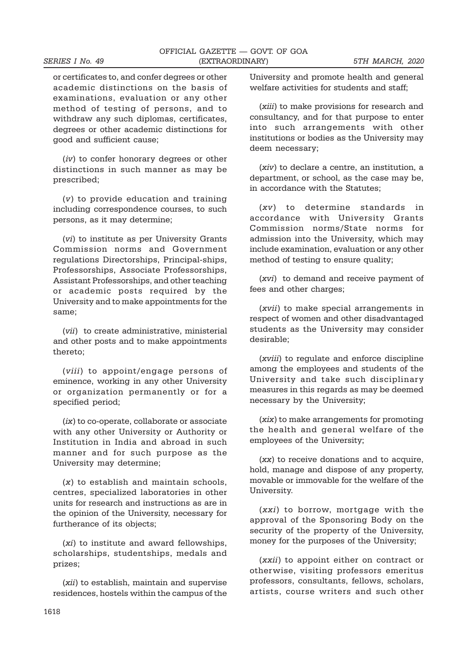or certificates to, and confer degrees or other academic distinctions on the basis of examinations, evaluation or any other method of testing of persons, and to withdraw any such diplomas, certificates, degrees or other academic distinctions for good and sufficient cause;

(iv) to confer honorary degrees or other distinctions in such manner as may be prescribed;

(v) to provide education and training including correspondence courses, to such persons, as it may determine;

(vi) to institute as per University Grants Commission norms and Government regulations Directorships, Principal-ships, Professorships, Associate Professorships, Assistant Professorships, and other teaching or academic posts required by the University and to make appointments for the same;

(vii) to create administrative, ministerial and other posts and to make appointments thereto;

(viii) to appoint/engage persons of eminence, working in any other University or organization permanently or for a specified period;

(ix) to co-operate, collaborate or associate with any other University or Authority or Institution in India and abroad in such manner and for such purpose as the University may determine;

 $(x)$  to establish and maintain schools. centres, specialized laboratories in other units for research and instructions as are in the opinion of the University, necessary for furtherance of its objects;

(xi) to institute and award fellowships, scholarships, studentships, medals and prizes;

(xii) to establish, maintain and supervise residences, hostels within the campus of the

University and promote health and general welfare activities for students and staff;

(xiii) to make provisions for research and consultancy, and for that purpose to enter into such arrangements with other institutions or bodies as the University may deem necessary;

(xiv) to declare a centre, an institution, a department, or school, as the case may be, in accordance with the Statutes;

(xv) to determine standards in accordance with University Grants Commission norms/State norms for admission into the University, which may include examination, evaluation or any other method of testing to ensure quality;

(xvi) to demand and receive payment of fees and other charges:

(xvii) to make special arrangements in respect of women and other disadvantaged students as the University may consider desirable;

(xviii) to regulate and enforce discipline among the employees and students of the University and take such disciplinary measures in this regards as may be deemed necessary by the University;

(xix) to make arrangements for promoting the health and general welfare of the employees of the University;

(xx) to receive donations and to acquire, hold, manage and dispose of any property, movable or immovable for the welfare of the University.

(xxi) to borrow, mortgage with the approval of the Sponsoring Body on the security of the property of the University, money for the purposes of the University;

(xxii) to appoint either on contract or otherwise, visiting professors emeritus professors, consultants, fellows, scholars, artists, course writers and such other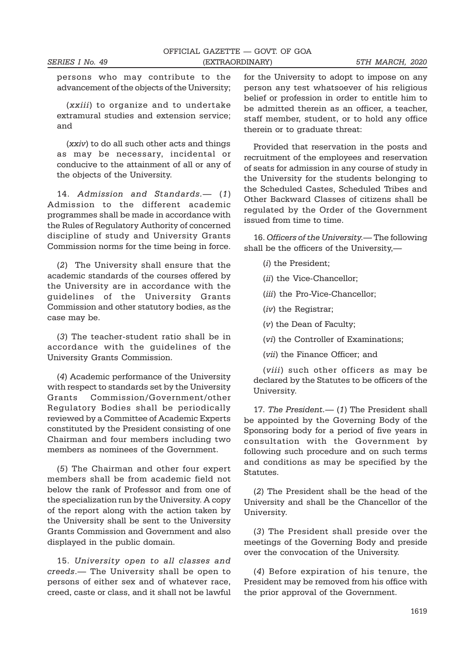persons who may contribute to the advancement of the objects of the University;

(xxiii) to organize and to undertake extramural studies and extension service; and

(xxiv) to do all such other acts and things as may be necessary, incidental or conducive to the attainment of all or any of the objects of the University.

14. Admission and Standards.— (1) Admission to the different academic programmes shall be made in accordance with the Rules of Regulatory Authority of concerned discipline of study and University Grants Commission norms for the time being in force.

(2) The University shall ensure that the academic standards of the courses offered by the University are in accordance with the guidelines of the University Grants Commission and other statutory bodies, as the case may be.

(3) The teacher-student ratio shall be in accordance with the guidelines of the University Grants Commission.

(4) Academic performance of the University with respect to standards set by the University Grants Commission/Government/other Regulatory Bodies shall be periodically reviewed by a Committee of Academic Experts constituted by the President consisting of one Chairman and four members including two members as nominees of the Government.

(5) The Chairman and other four expert members shall be from academic field not below the rank of Professor and from one of the specialization run by the University. A copy of the report along with the action taken by the University shall be sent to the University Grants Commission and Government and also displayed in the public domain.

15. University open to all classes and creeds.— The University shall be open to persons of either sex and of whatever race, creed, caste or class, and it shall not be lawful

for the University to adopt to impose on any person any test whatsoever of his religious belief or profession in order to entitle him to be admitted therein as an officer, a teacher, staff member, student, or to hold any office therein or to graduate threat:

Provided that reservation in the posts and recruitment of the employees and reservation of seats for admission in any course of study in the University for the students belonging to the Scheduled Castes, Scheduled Tribes and Other Backward Classes of citizens shall be regulated by the Order of the Government issued from time to time.

16. Officers of the University.— The following shall be the officers of the University,—

(i) the President;

(*ii*) the Vice-Chancellor;

(*iii*) the Pro-Vice-Chancellor:

(iv) the Registrar;

(v) the Dean of Faculty;

(vi) the Controller of Examinations;

(vii) the Finance Officer; and

(viii) such other officers as may be declared by the Statutes to be officers of the University.

17. The President.— (1) The President shall be appointed by the Governing Body of the Sponsoring body for a period of five years in consultation with the Government by following such procedure and on such terms and conditions as may be specified by the Statutes.

(2) The President shall be the head of the University and shall be the Chancellor of the University.

(3) The President shall preside over the meetings of the Governing Body and preside over the convocation of the University.

(4) Before expiration of his tenure, the President may be removed from his office with the prior approval of the Government.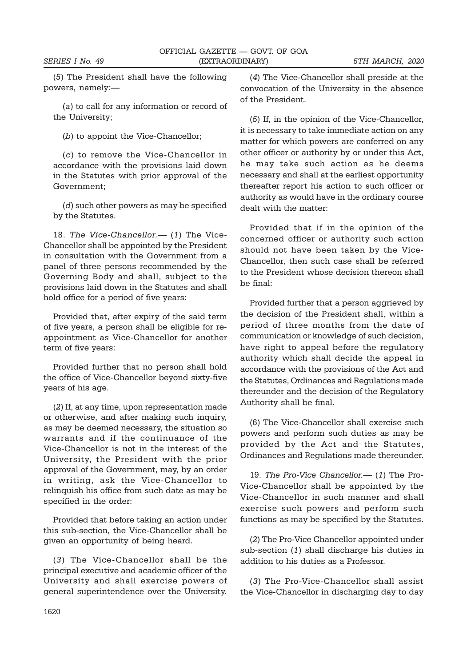(5) The President shall have the following powers, namely:—

(a) to call for any information or record of the University;

(b) to appoint the Vice-Chancellor;

(c) to remove the Vice-Chancellor in accordance with the provisions laid down in the Statutes with prior approval of the Government;

(d) such other powers as may be specified by the Statutes.

18. The Vice-Chancellor.— (1) The Vice-Chancellor shall be appointed by the President in consultation with the Government from a panel of three persons recommended by the Governing Body and shall, subject to the provisions laid down in the Statutes and shall hold office for a period of five years:

Provided that, after expiry of the said term of five years, a person shall be eligible for reappointment as Vice-Chancellor for another term of five years:

Provided further that no person shall hold the office of Vice-Chancellor beyond sixty-five years of his age.

(2) If, at any time, upon representation made or otherwise, and after making such inquiry, as may be deemed necessary, the situation so warrants and if the continuance of the Vice-Chancellor is not in the interest of the University, the President with the prior approval of the Government, may, by an order in writing, ask the Vice-Chancellor to relinquish his office from such date as may be specified in the order:

Provided that before taking an action under this sub-section, the Vice-Chancellor shall be given an opportunity of being heard.

(3) The Vice-Chancellor shall be the principal executive and academic officer of the University and shall exercise powers of general superintendence over the University.

(4) The Vice-Chancellor shall preside at the convocation of the University in the absence of the President.

(5) If, in the opinion of the Vice-Chancellor, it is necessary to take immediate action on any matter for which powers are conferred on any other officer or authority by or under this Act, he may take such action as he deems necessary and shall at the earliest opportunity thereafter report his action to such officer or authority as would have in the ordinary course dealt with the matter:

Provided that if in the opinion of the concerned officer or authority such action should not have been taken by the Vice-Chancellor, then such case shall be referred to the President whose decision thereon shall be final:

Provided further that a person aggrieved by the decision of the President shall, within a period of three months from the date of communication or knowledge of such decision, have right to appeal before the regulatory authority which shall decide the appeal in accordance with the provisions of the Act and the Statutes, Ordinances and Regulations made thereunder and the decision of the Regulatory Authority shall be final.

(6) The Vice-Chancellor shall exercise such powers and perform such duties as may be provided by the Act and the Statutes, Ordinances and Regulations made thereunder.

19. The Pro-Vice Chancellor.— (1) The Pro-Vice-Chancellor shall be appointed by the Vice-Chancellor in such manner and shall exercise such powers and perform such functions as may be specified by the Statutes.

(2) The Pro-Vice Chancellor appointed under sub-section (1) shall discharge his duties in addition to his duties as a Professor.

(3) The Pro-Vice-Chancellor shall assist the Vice-Chancellor in discharging day to day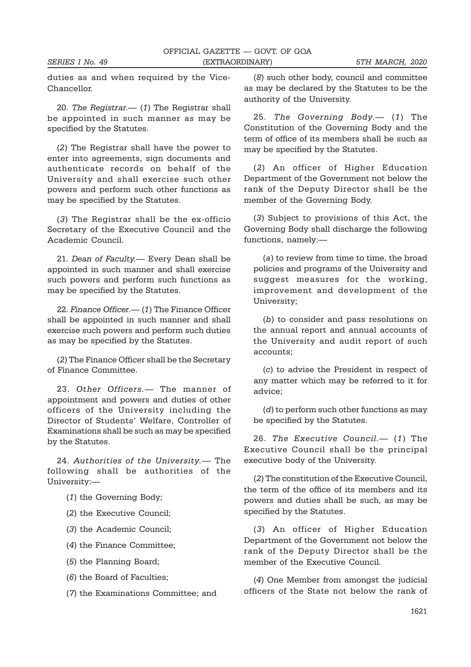duties as and when required by the Vice-Chancellor.

20. The Registrar.— (1) The Registrar shall be appointed in such manner as may be specified by the Statutes.

(2) The Registrar shall have the power to enter into agreements, sign documents and authenticate records on behalf of the University and shall exercise such other powers and perform such other functions as may be specified by the Statutes.

(3) The Registrar shall be the ex-officio Secretary of the Executive Council and the Academic Council.

21. Dean of Faculty.— Every Dean shall be appointed in such manner and shall exercise such powers and perform such functions as may be specified by the Statutes.

22. Finance Officer.— (1) The Finance Officer shall be appointed in such manner and shall exercise such powers and perform such duties as may be specified by the Statutes.

(2) The Finance Officer shall be the Secretary of Finance Committee.

23. Other Officers.— The manner of appointment and powers and duties of other officers of the University including the Director of Students' Welfare, Controller of Examinations shall be such as may be specified by the Statutes.

24. Authorities of the University.— The following shall be authorities of the University:—

- (1) the Governing Body;
- (2) the Executive Council;
- (3) the Academic Council;
- (4) the Finance Committee;
- (5) the Planning Board;
- (6) the Board of Faculties;
- (7) the Examinations Committee; and

(8) such other body, council and committee as may be declared by the Statutes to be the authority of the University.

25. The Governing Body.— (1) The Constitution of the Governing Body and the term of office of its members shall be such as may be specified by the Statutes.

(2) An officer of Higher Education Department of the Government not below the rank of the Deputy Director shall be the member of the Governing Body.

(3) Subject to provisions of this Act, the Governing Body shall discharge the following functions, namely:—

(a) to review from time to time, the broad policies and programs of the University and suggest measures for the working, improvement and development of the University;

(b) to consider and pass resolutions on the annual report and annual accounts of the University and audit report of such accounts;

(c) to advise the President in respect of any matter which may be referred to it for advice;

(d) to perform such other functions as may be specified by the Statutes.

26. The Executive Council. (1) The Executive Council shall be the principal executive body of the University.

(2) The constitution of the Executive Council, the term of the office of its members and its powers and duties shall be such, as may be specified by the Statutes.

(3) An officer of Higher Education Department of the Government not below the rank of the Deputy Director shall be the member of the Executive Council.

(4) One Member from amongst the judicial officers of the State not below the rank of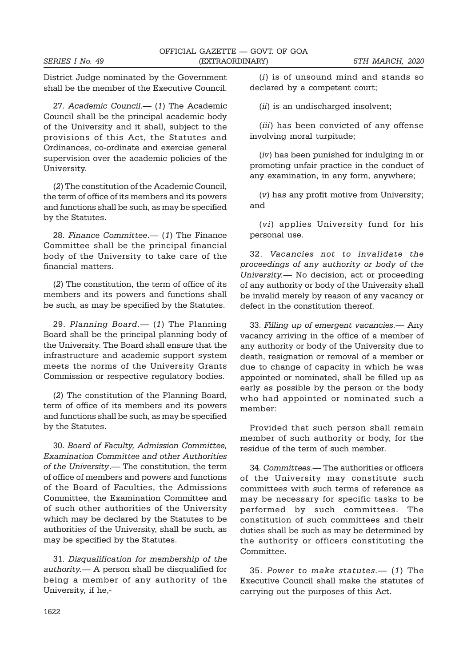District Judge nominated by the Government shall be the member of the Executive Council.

27. Academic Council. (1) The Academic Council shall be the principal academic body of the University and it shall, subject to the provisions of this Act, the Statutes and Ordinances, co-ordinate and exercise general supervision over the academic policies of the University.

(2) The constitution of the Academic Council, the term of office of its members and its powers and functions shall be such, as may be specified by the Statutes.

28. Finance Committee.— (1) The Finance Committee shall be the principal financial body of the University to take care of the financial matters.

(2) The constitution, the term of office of its members and its powers and functions shall be such, as may be specified by the Statutes.

29. Planning Board.— (1) The Planning Board shall be the principal planning body of the University. The Board shall ensure that the infrastructure and academic support system meets the norms of the University Grants Commission or respective regulatory bodies.

(2) The constitution of the Planning Board, term of office of its members and its powers and functions shall be such, as may be specified by the Statutes.

30. Board of Faculty, Admission Committee, Examination Committee and other Authorities of the University.— The constitution, the term of office of members and powers and functions of the Board of Faculties, the Admissions Committee, the Examination Committee and of such other authorities of the University which may be declared by the Statutes to be authorities of the University, shall be such, as may be specified by the Statutes.

31. Disqualification for membership of the authority.— A person shall be disqualified for being a member of any authority of the University, if he,-

(i) is of unsound mind and stands so declared by a competent court;

(*ii*) is an undischarged insolvent;

(iii) has been convicted of any offense involving moral turpitude;

(iv) has been punished for indulging in or promoting unfair practice in the conduct of any examination, in any form, anywhere;

(v) has any profit motive from University; and

(vi) applies University fund for his personal use.

32. Vacancies not to invalidate the proceedings of any authority or body of the University.— No decision, act or proceeding of any authority or body of the University shall be invalid merely by reason of any vacancy or defect in the constitution thereof.

33. Filling up of emergent vacancies.— Any vacancy arriving in the office of a member of any authority or body of the University due to death, resignation or removal of a member or due to change of capacity in which he was appointed or nominated, shall be filled up as early as possible by the person or the body who had appointed or nominated such a member:

Provided that such person shall remain member of such authority or body, for the residue of the term of such member.

34. Committees.— The authorities or officers of the University may constitute such committees with such terms of reference as may be necessary for specific tasks to be performed by such committees. The constitution of such committees and their duties shall be such as may be determined by the authority or officers constituting the Committee.

35. Power to make statutes.— (1) The Executive Council shall make the statutes of carrying out the purposes of this Act.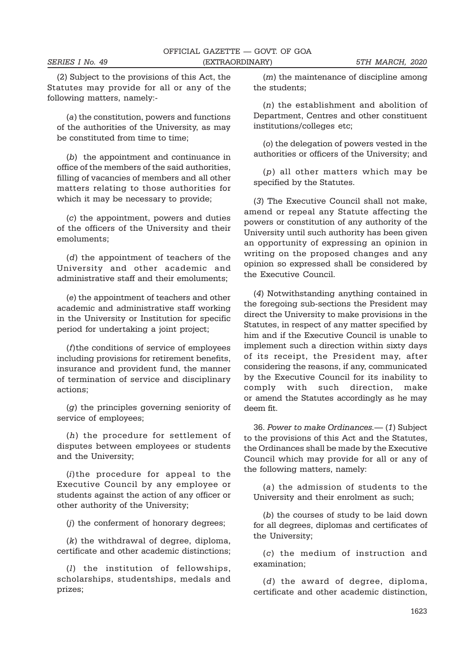(2) Subject to the provisions of this Act, the Statutes may provide for all or any of the following matters, namely:-

(a) the constitution, powers and functions of the authorities of the University, as may be constituted from time to time;

(b) the appointment and continuance in office of the members of the said authorities, filling of vacancies of members and all other matters relating to those authorities for which it may be necessary to provide;

(c) the appointment, powers and duties of the officers of the University and their emoluments;

(d) the appointment of teachers of the University and other academic and administrative staff and their emoluments;

(e) the appointment of teachers and other academic and administrative staff working in the University or Institution for specific period for undertaking a joint project;

(f)the conditions of service of employees including provisions for retirement benefits, insurance and provident fund, the manner of termination of service and disciplinary actions;

(g) the principles governing seniority of service of employees;

(h) the procedure for settlement of disputes between employees or students and the University;

(i)the procedure for appeal to the Executive Council by any employee or students against the action of any officer or other authority of the University;

(j) the conferment of honorary degrees;

(k) the withdrawal of degree, diploma, certificate and other academic distinctions;

(l) the institution of fellowships, scholarships, studentships, medals and prizes;

(m) the maintenance of discipline among the students;

(n) the establishment and abolition of Department, Centres and other constituent institutions/colleges etc;

(o) the delegation of powers vested in the authorities or officers of the University; and

(p) all other matters which may be specified by the Statutes.

(3) The Executive Council shall not make, amend or repeal any Statute affecting the powers or constitution of any authority of the University until such authority has been given an opportunity of expressing an opinion in writing on the proposed changes and any opinion so expressed shall be considered by the Executive Council.

(4) Notwithstanding anything contained in the foregoing sub-sections the President may direct the University to make provisions in the Statutes, in respect of any matter specified by him and if the Executive Council is unable to implement such a direction within sixty days of its receipt, the President may, after considering the reasons, if any, communicated by the Executive Council for its inability to comply with such direction, make or amend the Statutes accordingly as he may deem fit.

36. Power to make Ordinances.— (1) Subject to the provisions of this Act and the Statutes, the Ordinances shall be made by the Executive Council which may provide for all or any of the following matters, namely:

(a) the admission of students to the University and their enrolment as such;

(b) the courses of study to be laid down for all degrees, diplomas and certificates of the University;

(c) the medium of instruction and examination;

(d) the award of degree, diploma, certificate and other academic distinction,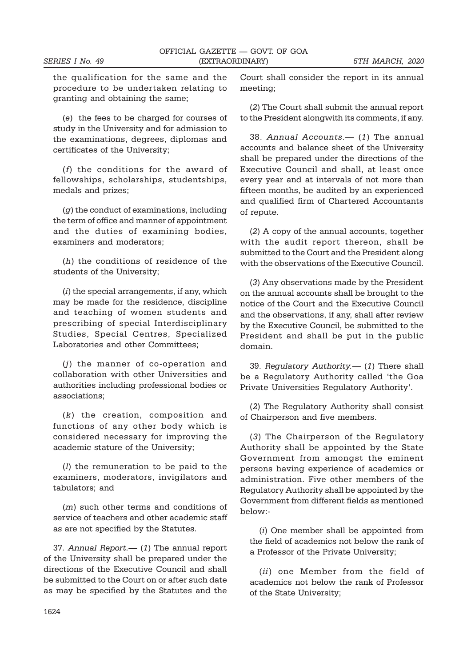the qualification for the same and the procedure to be undertaken relating to granting and obtaining the same;

(e) the fees to be charged for courses of study in the University and for admission to the examinations, degrees, diplomas and certificates of the University;

(f) the conditions for the award of fellowships, scholarships, studentships, medals and prizes;

(g) the conduct of examinations, including the term of office and manner of appointment and the duties of examining bodies, examiners and moderators;

(h) the conditions of residence of the students of the University;

 $(i)$  the special arrangements, if any, which may be made for the residence, discipline and teaching of women students and prescribing of special Interdisciplinary Studies, Special Centres, Specialized Laboratories and other Committees;

(j) the manner of co-operation and collaboration with other Universities and authorities including professional bodies or associations;

(k) the creation, composition and functions of any other body which is considered necessary for improving the academic stature of the University;

(l) the remuneration to be paid to the examiners, moderators, invigilators and tabulators; and

(m) such other terms and conditions of service of teachers and other academic staff as are not specified by the Statutes.

37. Annual Report.— (1) The annual report of the University shall be prepared under the directions of the Executive Council and shall be submitted to the Court on or after such date as may be specified by the Statutes and the

Court shall consider the report in its annual meeting;

(2) The Court shall submit the annual report to the President alongwith its comments, if any.

38. Annual Accounts.— (1) The annual accounts and balance sheet of the University shall be prepared under the directions of the Executive Council and shall, at least once every year and at intervals of not more than fifteen months, be audited by an experienced and qualified firm of Chartered Accountants of repute.

(2) A copy of the annual accounts, together with the audit report thereon, shall be submitted to the Court and the President along with the observations of the Executive Council.

(3) Any observations made by the President on the annual accounts shall be brought to the notice of the Court and the Executive Council and the observations, if any, shall after review by the Executive Council, be submitted to the President and shall be put in the public domain.

39. Regulatory Authority.— (1) There shall be a Regulatory Authority called 'the Goa Private Universities Regulatory Authority'.

(2) The Regulatory Authority shall consist of Chairperson and five members.

(3) The Chairperson of the Regulatory Authority shall be appointed by the State Government from amongst the eminent persons having experience of academics or administration. Five other members of the Regulatory Authority shall be appointed by the Government from different fields as mentioned below:-

(i) One member shall be appointed from the field of academics not below the rank of a Professor of the Private University;

(ii) one Member from the field of academics not below the rank of Professor of the State University;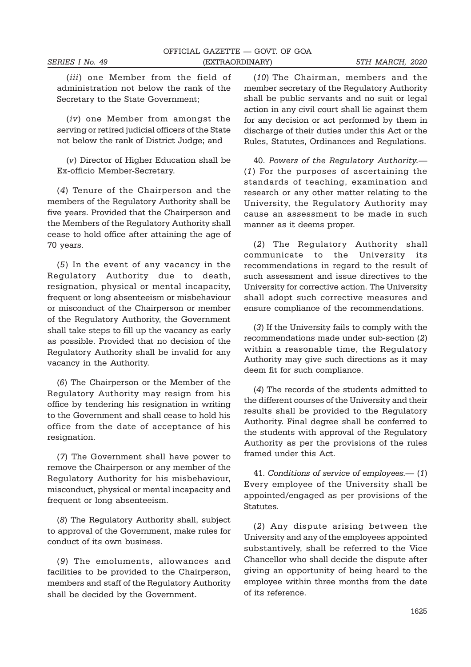(iii) one Member from the field of administration not below the rank of the Secretary to the State Government;

(iv) one Member from amongst the serving or retired judicial officers of the State not below the rank of District Judge; and

(v) Director of Higher Education shall be Ex-officio Member-Secretary.

(4) Tenure of the Chairperson and the members of the Regulatory Authority shall be five years. Provided that the Chairperson and the Members of the Regulatory Authority shall cease to hold office after attaining the age of 70 years.

(5) In the event of any vacancy in the Regulatory Authority due to death, resignation, physical or mental incapacity, frequent or long absenteeism or misbehaviour or misconduct of the Chairperson or member of the Regulatory Authority, the Government shall take steps to fill up the vacancy as early as possible. Provided that no decision of the Regulatory Authority shall be invalid for any vacancy in the Authority.

(6) The Chairperson or the Member of the Regulatory Authority may resign from his office by tendering his resignation in writing to the Government and shall cease to hold his office from the date of acceptance of his resignation.

(7) The Government shall have power to remove the Chairperson or any member of the Regulatory Authority for his misbehaviour, misconduct, physical or mental incapacity and frequent or long absenteeism.

(8) The Regulatory Authority shall, subject to approval of the Government, make rules for conduct of its own business.

(9) The emoluments, allowances and facilities to be provided to the Chairperson, members and staff of the Regulatory Authority shall be decided by the Government.

(10) The Chairman, members and the member secretary of the Regulatory Authority shall be public servants and no suit or legal action in any civil court shall lie against them for any decision or act performed by them in discharge of their duties under this Act or the Rules, Statutes, Ordinances and Regulations.

40. Powers of the Regulatory Authority.— (1) For the purposes of ascertaining the standards of teaching, examination and research or any other matter relating to the University, the Regulatory Authority may cause an assessment to be made in such manner as it deems proper.

(2) The Regulatory Authority shall communicate to the University its recommendations in regard to the result of such assessment and issue directives to the University for corrective action. The University shall adopt such corrective measures and ensure compliance of the recommendations.

(3) If the University fails to comply with the recommendations made under sub-section (2) within a reasonable time, the Regulatory Authority may give such directions as it may deem fit for such compliance.

(4) The records of the students admitted to the different courses of the University and their results shall be provided to the Regulatory Authority. Final degree shall be conferred to the students with approval of the Regulatory Authority as per the provisions of the rules framed under this Act.

41. Conditions of service of employees.— (1) Every employee of the University shall be appointed/engaged as per provisions of the Statutes.

(2) Any dispute arising between the University and any of the employees appointed substantively, shall be referred to the Vice Chancellor who shall decide the dispute after giving an opportunity of being heard to the employee within three months from the date of its reference.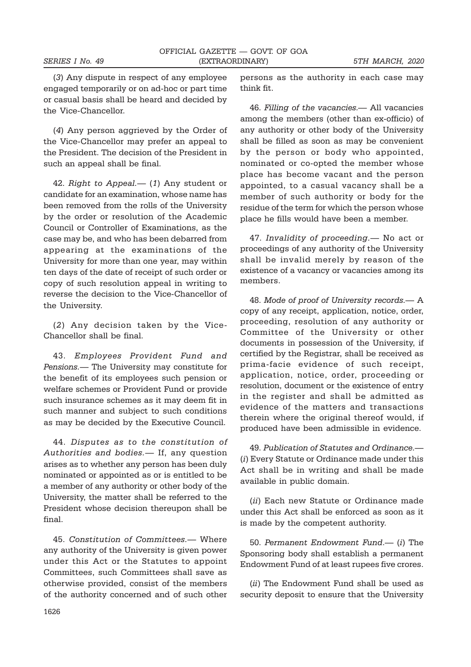(3) Any dispute in respect of any employee engaged temporarily or on ad-hoc or part time or casual basis shall be heard and decided by the Vice-Chancellor.

(4) Any person aggrieved by the Order of the Vice-Chancellor may prefer an appeal to the President. The decision of the President in such an appeal shall be final.

42. Right to Appeal.— (1) Any student or candidate for an examination, whose name has been removed from the rolls of the University by the order or resolution of the Academic Council or Controller of Examinations, as the case may be, and who has been debarred from appearing at the examinations of the University for more than one year, may within ten days of the date of receipt of such order or copy of such resolution appeal in writing to reverse the decision to the Vice-Chancellor of the University.

(2) Any decision taken by the Vice-Chancellor shall be final.

43. Employees Provident Fund and Pensions.— The University may constitute for the benefit of its employees such pension or welfare schemes or Provident Fund or provide such insurance schemes as it may deem fit in such manner and subject to such conditions as may be decided by the Executive Council.

44. Disputes as to the constitution of Authorities and bodies.— If, any question arises as to whether any person has been duly nominated or appointed as or is entitled to be a member of any authority or other body of the University, the matter shall be referred to the President whose decision thereupon shall be final.

45. Constitution of Committees.— Where any authority of the University is given power under this Act or the Statutes to appoint Committees, such Committees shall save as otherwise provided, consist of the members of the authority concerned and of such other persons as the authority in each case may think fit.

46. Filling of the vacancies.— All vacancies among the members (other than ex-officio) of any authority or other body of the University shall be filled as soon as may be convenient by the person or body who appointed, nominated or co-opted the member whose place has become vacant and the person appointed, to a casual vacancy shall be a member of such authority or body for the residue of the term for which the person whose place he fills would have been a member.

47. Invalidity of proceeding.— No act or proceedings of any authority of the University shall be invalid merely by reason of the existence of a vacancy or vacancies among its members.

48. Mode of proof of University records.— A copy of any receipt, application, notice, order, proceeding, resolution of any authority or Committee of the University or other documents in possession of the University, if certified by the Registrar, shall be received as prima-facie evidence of such receipt, application, notice, order, proceeding or resolution, document or the existence of entry in the register and shall be admitted as evidence of the matters and transactions therein where the original thereof would, if produced have been admissible in evidence.

49. Publication of Statutes and Ordinance.— (i) Every Statute or Ordinance made under this Act shall be in writing and shall be made available in public domain.

(ii) Each new Statute or Ordinance made under this Act shall be enforced as soon as it is made by the competent authority.

50. Permanent Endowment Fund.— (i) The Sponsoring body shall establish a permanent Endowment Fund of at least rupees five crores.

(ii) The Endowment Fund shall be used as security deposit to ensure that the University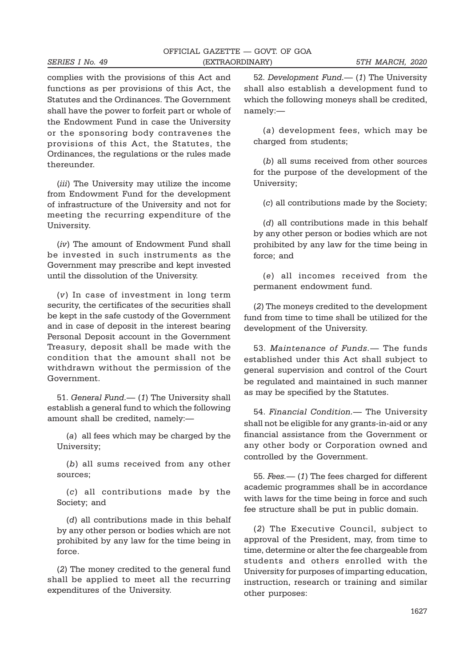|                 | OFFICIAL GAZETTE — GOVT. OF GOA |                 |
|-----------------|---------------------------------|-----------------|
| SERIES I No. 49 | (EXTRAORDINARY)                 | 5TH MARCH, 2020 |

complies with the provisions of this Act and functions as per provisions of this Act, the Statutes and the Ordinances. The Government shall have the power to forfeit part or whole of the Endowment Fund in case the University or the sponsoring body contravenes the provisions of this Act, the Statutes, the Ordinances, the regulations or the rules made thereunder.

(*iii*) The University may utilize the income from Endowment Fund for the development of infrastructure of the University and not for meeting the recurring expenditure of the University.

(iv) The amount of Endowment Fund shall be invested in such instruments as the Government may prescribe and kept invested until the dissolution of the University.

(v) In case of investment in long term security, the certificates of the securities shall be kept in the safe custody of the Government and in case of deposit in the interest bearing Personal Deposit account in the Government Treasury, deposit shall be made with the condition that the amount shall not be withdrawn without the permission of the Government.

51. General Fund.— (1) The University shall establish a general fund to which the following amount shall be credited, namely:—

(a) all fees which may be charged by the University;

(b) all sums received from any other sources;

(c) all contributions made by the Society; and

(d) all contributions made in this behalf by any other person or bodies which are not prohibited by any law for the time being in force.

(2) The money credited to the general fund shall be applied to meet all the recurring expenditures of the University.

52. Development Fund.— (1) The University shall also establish a development fund to which the following moneys shall be credited, namely:—

(a) development fees, which may be charged from students;

(b) all sums received from other sources for the purpose of the development of the University;

(c) all contributions made by the Society;

(d) all contributions made in this behalf by any other person or bodies which are not prohibited by any law for the time being in force; and

(e) all incomes received from the permanent endowment fund.

(2) The moneys credited to the development fund from time to time shall be utilized for the development of the University.

53. Maintenance of Funds.— The funds established under this Act shall subject to general supervision and control of the Court be regulated and maintained in such manner as may be specified by the Statutes.

54. Financial Condition.— The University shall not be eligible for any grants-in-aid or any financial assistance from the Government or any other body or Corporation owned and controlled by the Government.

55. Fees.— (1) The fees charged for different academic programmes shall be in accordance with laws for the time being in force and such fee structure shall be put in public domain.

(2) The Executive Council, subject to approval of the President, may, from time to time, determine or alter the fee chargeable from students and others enrolled with the University for purposes of imparting education, instruction, research or training and similar other purposes: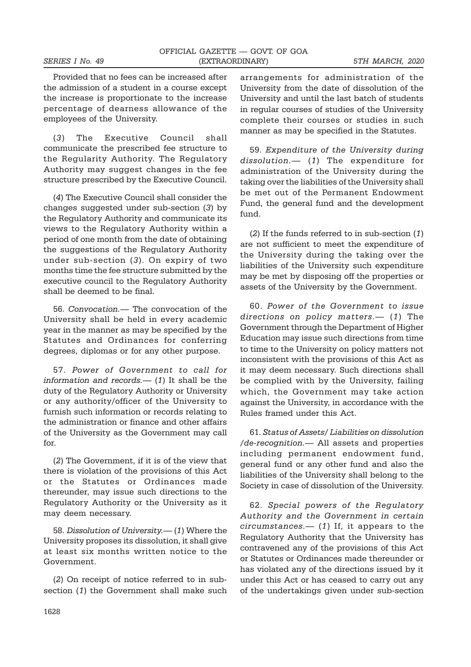Provided that no fees can be increased after the admission of a student in a course except the increase is proportionate to the increase percentage of dearness allowance of the employees of the University.

(3) The Executive Council shall communicate the prescribed fee structure to the Regularity Authority. The Regulatory Authority may suggest changes in the fee structure prescribed by the Executive Council.

(4) The Executive Council shall consider the changes suggested under sub-section (3) by the Regulatory Authority and communicate its views to the Regulatory Authority within a period of one month from the date of obtaining the suggestions of the Regulatory Authority under sub-section (3). On expiry of two months time the fee structure submitted by the executive council to the Regulatory Authority shall be deemed to be final.

56. Convocation.— The convocation of the University shall be held in every academic year in the manner as may be specified by the Statutes and Ordinances for conferring degrees, diplomas or for any other purpose.

57. Power of Government to call for information and records.— $(1)$  It shall be the duty of the Regulatory Authority or University or any authority/officer of the University to furnish such information or records relating to the administration or finance and other affairs of the University as the Government may call for.

(2) The Government, if it is of the view that there is violation of the provisions of this Act or the Statutes or Ordinances made thereunder, may issue such directions to the Regulatory Authority or the University as it may deem necessary.

58. Dissolution of University.— (1) Where the University proposes its dissolution, it shall give at least six months written notice to the Government.

(2) On receipt of notice referred to in subsection (1) the Government shall make such arrangements for administration of the University from the date of dissolution of the University and until the last batch of students in regular courses of studies of the University complete their courses or studies in such manner as may be specified in the Statutes.

59. Expenditure of the University during dissolution.— (1) The expenditure for administration of the University during the taking over the liabilities of the University shall be met out of the Permanent Endowment Fund, the general fund and the development fund.

(2) If the funds referred to in sub-section (1) are not sufficient to meet the expenditure of the University during the taking over the liabilities of the University such expenditure may be met by disposing off the properties or assets of the University by the Government.

60. Power of the Government to issue directions on policy matters. - (1) The Government through the Department of Higher Education may issue such directions from time to time to the University on policy matters not inconsistent with the provisions of this Act as it may deem necessary. Such directions shall be complied with by the University, failing which, the Government may take action against the University, in accordance with the Rules framed under this Act.

61. Status of Assets/ Liabilities on dissolution /de-recognition.— All assets and properties including permanent endowment fund, general fund or any other fund and also the liabilities of the University shall belong to the Society in case of dissolution of the University.

62. Special powers of the Regulatory Authority and the Government in certain circumstances.—  $(1)$  If, it appears to the Regulatory Authority that the University has contravened any of the provisions of this Act or Statutes or Ordinances made thereunder or has violated any of the directions issued by it under this Act or has ceased to carry out any of the undertakings given under sub-section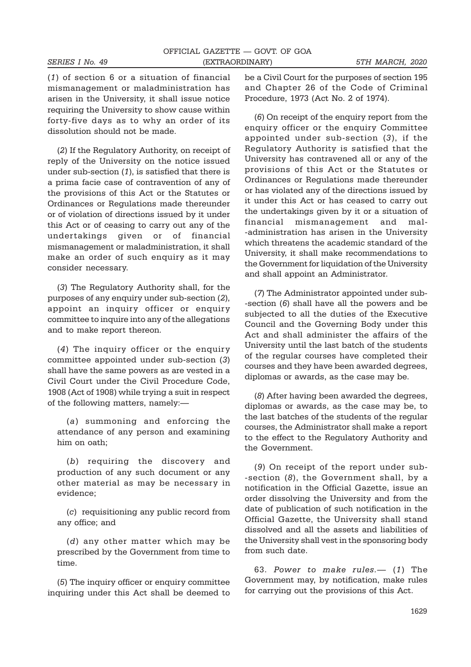(1) of section 6 or a situation of financial mismanagement or maladministration has arisen in the University, it shall issue notice requiring the University to show cause within forty-five days as to why an order of its dissolution should not be made.

(2) If the Regulatory Authority, on receipt of reply of the University on the notice issued under sub-section (1), is satisfied that there is a prima facie case of contravention of any of the provisions of this Act or the Statutes or Ordinances or Regulations made thereunder or of violation of directions issued by it under this Act or of ceasing to carry out any of the undertakings given or of financial mismanagement or maladministration, it shall make an order of such enquiry as it may consider necessary.

(3) The Regulatory Authority shall, for the purposes of any enquiry under sub-section (2), appoint an inquiry officer or enquiry committee to inquire into any of the allegations and to make report thereon.

(4) The inquiry officer or the enquiry committee appointed under sub-section (3) shall have the same powers as are vested in a Civil Court under the Civil Procedure Code, 1908 (Act of 1908) while trying a suit in respect of the following matters, namely:—

(a) summoning and enforcing the attendance of any person and examining him on oath;

(b) requiring the discovery and production of any such document or any other material as may be necessary in evidence;

(c) requisitioning any public record from any office; and

(d) any other matter which may be prescribed by the Government from time to time.

(5) The inquiry officer or enquiry committee inquiring under this Act shall be deemed to be a Civil Court for the purposes of section 195 and Chapter 26 of the Code of Criminal Procedure, 1973 (Act No. 2 of 1974).

(6) On receipt of the enquiry report from the enquiry officer or the enquiry Committee appointed under sub-section (3), if the Regulatory Authority is satisfied that the University has contravened all or any of the provisions of this Act or the Statutes or Ordinances or Regulations made thereunder or has violated any of the directions issued by it under this Act or has ceased to carry out the undertakings given by it or a situation of financial mismanagement and mal- -administration has arisen in the University which threatens the academic standard of the University, it shall make recommendations to the Government for liquidation of the University and shall appoint an Administrator.

(7) The Administrator appointed under sub- -section (6) shall have all the powers and be subjected to all the duties of the Executive Council and the Governing Body under this Act and shall administer the affairs of the University until the last batch of the students of the regular courses have completed their courses and they have been awarded degrees, diplomas or awards, as the case may be.

(8) After having been awarded the degrees, diplomas or awards, as the case may be, to the last batches of the students of the regular courses, the Administrator shall make a report to the effect to the Regulatory Authority and the Government.

(9) On receipt of the report under sub- -section (8), the Government shall, by a notification in the Official Gazette, issue an order dissolving the University and from the date of publication of such notification in the Official Gazette, the University shall stand dissolved and all the assets and liabilities of the University shall vest in the sponsoring body from such date.

63. Power to make rules.— (1) The Government may, by notification, make rules for carrying out the provisions of this Act.